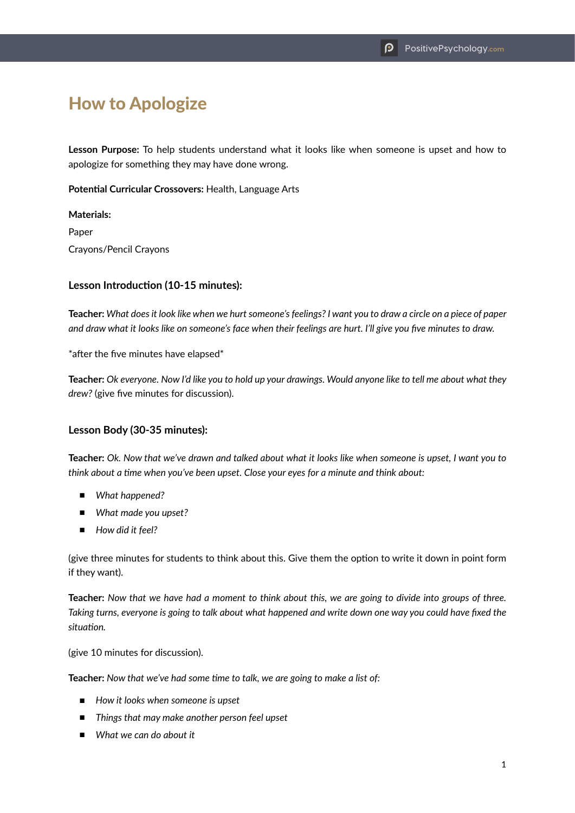# How to Apologize

**Lesson Purpose:** To help students understand what it looks like when someone is upset and how to apologize for something they may have done wrong.

**Potential Curricular Crossovers:** Health, Language Arts

**Materials:** Paper Crayons/Pencil Crayons

#### **Lesson Introduction (10-15 minutes):**

**Teacher:** *What does it look like when we hurt someone's feelings? I want you to draw a circle on a piece of paper and draw what it looks like on someone's face when their feelings are hurt. I'll give you five minutes to draw.*

\*after the five minutes have elapsed\*

**Teacher:** *Ok everyone. Now I'd like you to hold up your drawings. Would anyone like to tell me about what they drew?* (give five minutes for discussion).

#### **Lesson Body (30-35 minutes):**

**Teacher:** *Ok. Now that we've drawn and talked about what it looks like when someone is upset, I want you to think about a time when you've been upset. Close your eyes for a minute and think about:*

- *What happened?*
- *What made you upset?*
- *How did it feel?*

(give three minutes for students to think about this. Give them the option to write it down in point form if they want).

**Teacher:** *Now that we have had a moment to think about this, we are going to divide into groups of three. Taking turns, everyone is going to talk about what happened and write down one way you could have fixed the situation.*

(give 10 minutes for discussion).

**Teacher:** *Now that we've had some time to talk, we are going to make a list of:*

- *How it looks when someone is upset*
- *Things that may make another person feel upset*
- *What we can do about it*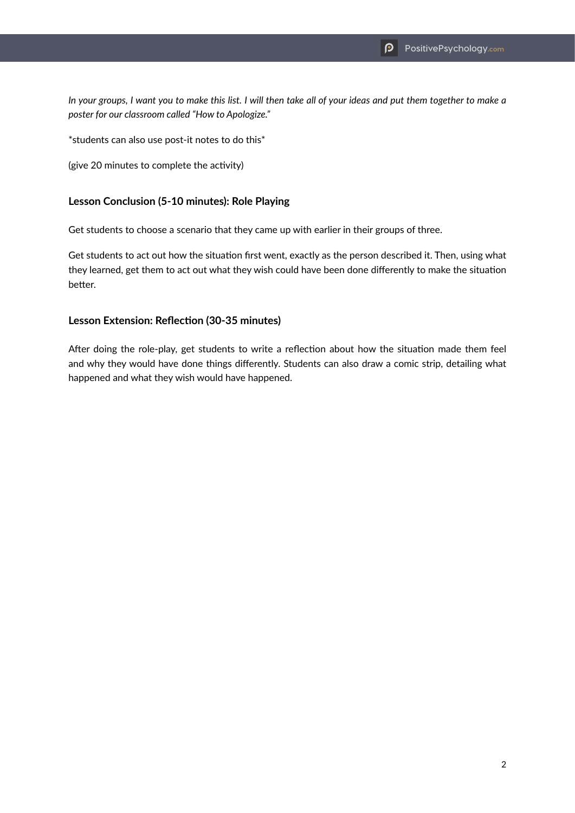*In your groups, I want you to make this list. I will then take all of your ideas and put them together to make a poster for our classroom called "How to Apologize."*

\*students can also use post-it notes to do this\*

(give 20 minutes to complete the activity)

#### **Lesson Conclusion (5-10 minutes): Role Playing**

Get students to choose a scenario that they came up with earlier in their groups of three.

Get students to act out how the situation first went, exactly as the person described it. Then, using what they learned, get them to act out what they wish could have been done differently to make the situation better.

#### **Lesson Extension: Reflection (30-35 minutes)**

After doing the role-play, get students to write a reflection about how the situation made them feel and why they would have done things differently. Students can also draw a comic strip, detailing what happened and what they wish would have happened.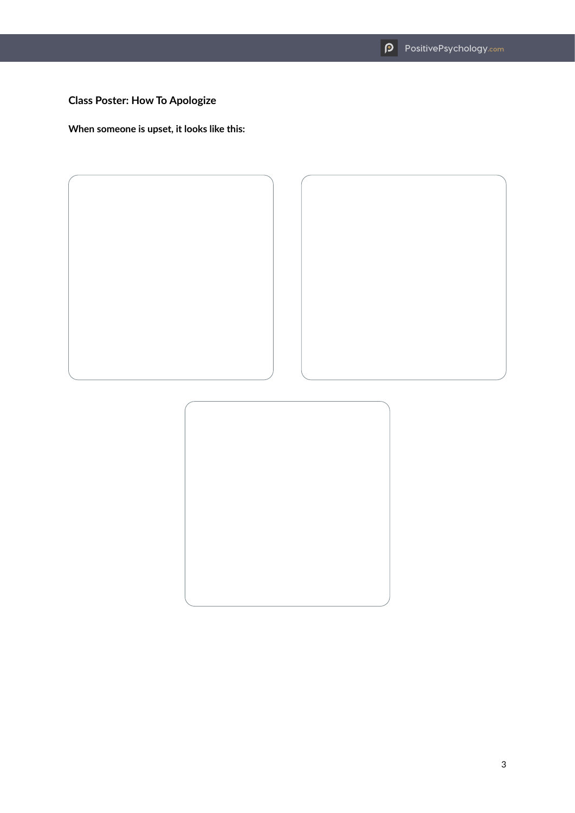## **Class Poster: How To Apologize**

**When someone is upset, it looks like this:**





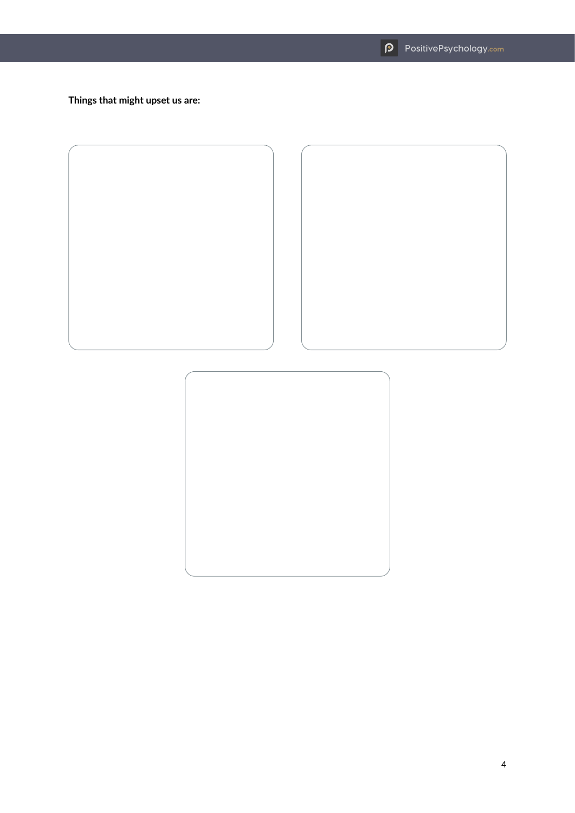**Things that might upset us are:**



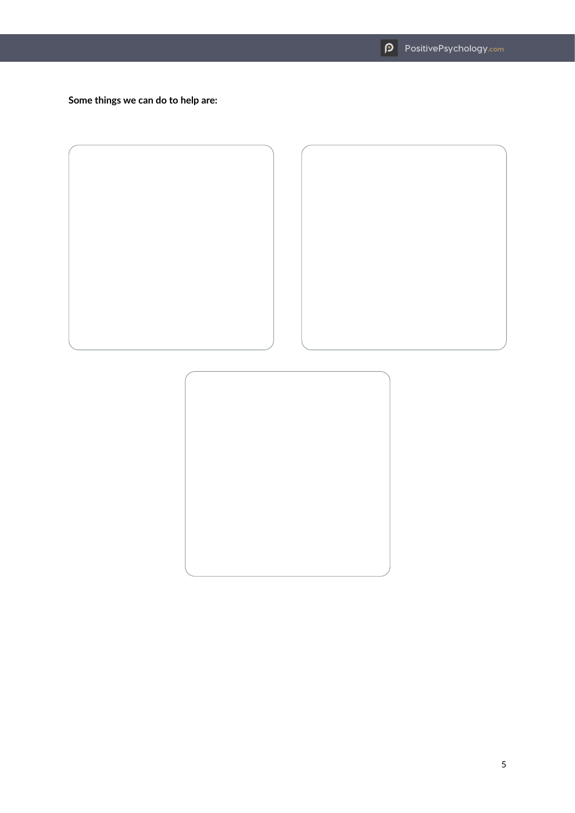**Some things we can do to help are:**



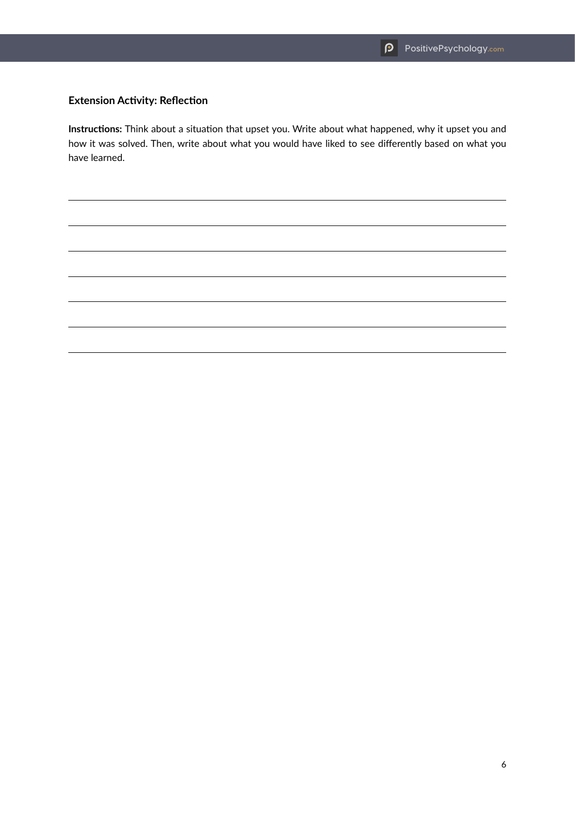### **Extension Activity: Reflection**

**Instructions:** Think about a situation that upset you. Write about what happened, why it upset you and how it was solved. Then, write about what you would have liked to see differently based on what you have learned.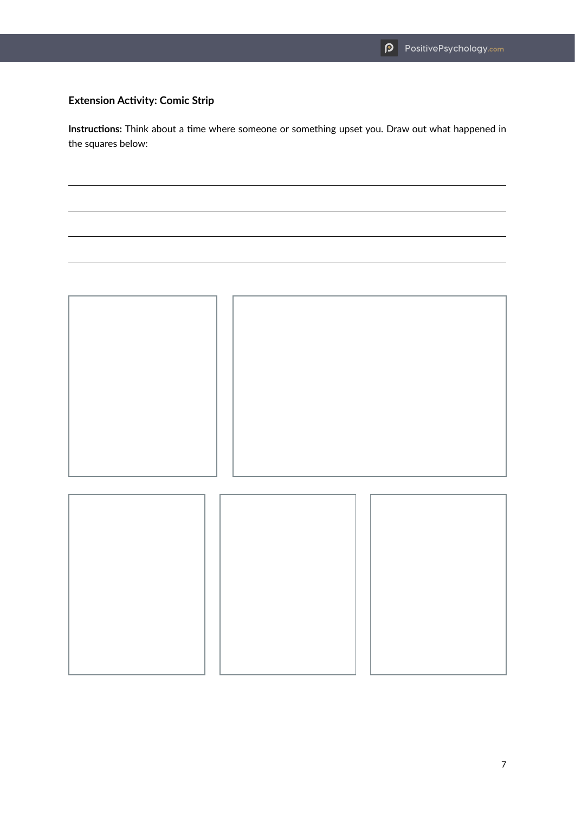## **Extension Activity: Comic Strip**

**Instructions:** Think about a time where someone or something upset you. Draw out what happened in the squares below: